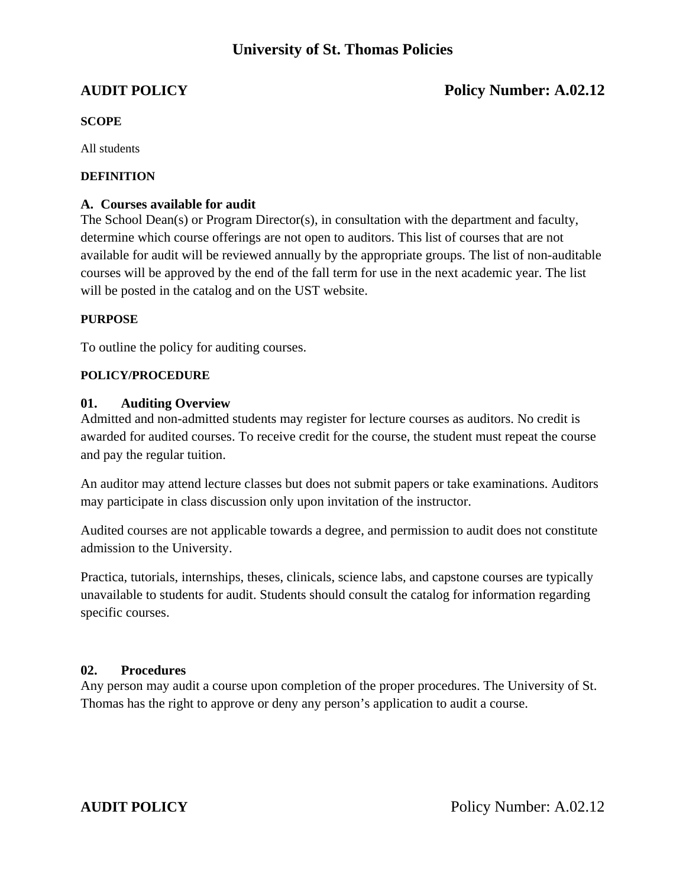## **University of St. Thomas Policies**

## **AUDIT POLICY** Policy Number: A.02.12

### **SCOPE**

All students

#### **DEFINITION**

### **A. Courses available for audit**

The School Dean(s) or Program Director(s), in consultation with the department and faculty, determine which course offerings are not open to auditors. This list of courses that are not available for audit will be reviewed annually by the appropriate groups. The list of non-auditable courses will be approved by the end of the fall term for use in the next academic year. The list will be posted in the catalog and on the UST website.

#### **PURPOSE**

To outline the policy for auditing courses.

### **POLICY/PROCEDURE**

### **01. Auditing Overview**

Admitted and non-admitted students may register for lecture courses as auditors. No credit is awarded for audited courses. To receive credit for the course, the student must repeat the course and pay the regular tuition.

An auditor may attend lecture classes but does not submit papers or take examinations. Auditors may participate in class discussion only upon invitation of the instructor.

Audited courses are not applicable towards a degree, and permission to audit does not constitute admission to the University.

Practica, tutorials, internships, theses, clinicals, science labs, and capstone courses are typically unavailable to students for audit. Students should consult the catalog for information regarding specific courses.

#### **02. Procedures**

Any person may audit a course upon completion of the proper procedures. The University of St. Thomas has the right to approve or deny any person's application to audit a course.